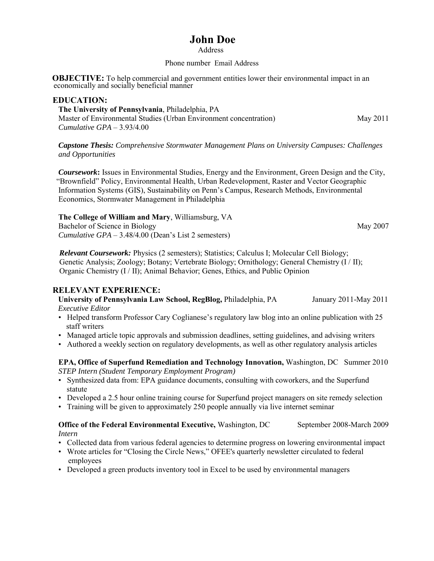# **John Doe**

#### **Address**

## Phone number Email Address

**OBJECTIVE:** To help commercial and government entities lower their environmental impact in an economically and socially beneficial manner

## **EDUCATION:**

 **The University of Pennsylvania**, Philadelphia, PA Master of Environmental Studies (Urban Environment concentration) May 2011  *Cumulative GPA* – 3.93/4.00

*Capstone Thesis: Comprehensive Stormwater Management Plans on University Campuses: Challenges and Opportunities* 

 *Coursework***:** Issues in Environmental Studies, Energy and the Environment, Green Design and the City, "Brownfield" Policy, Environmental Health, Urban Redevelopment, Raster and Vector Geographic Information Systems (GIS), Sustainability on Penn's Campus, Research Methods, Environmental Economics, Stormwater Management in Philadelphia

#### **The College of William and Mary**, Williamsburg, VA Bachelor of Science in Biology May 2007

 *Cumulative GPA* – 3.48/4.00 (Dean's List 2 semesters)

*Relevant Coursework:* Physics (2 semesters); Statistics; Calculus I; Molecular Cell Biology; Genetic Analysis; Zoology; Botany; Vertebrate Biology; Ornithology; General Chemistry (I / II); Organic Chemistry (I / II); Animal Behavior; Genes, Ethics, and Public Opinion

## **RELEVANT EXPERIENCE:**

 **University of Pennsylvania Law School, RegBlog,** Philadelphia, PA January 2011-May 2011 *Executive Editor*

- Helped transform Professor Cary Coglianese's regulatory law blog into an online publication with 25 staff writers
- Managed article topic approvals and submission deadlines, setting guidelines, and advising writers
- Authored a weekly section on regulatory developments, as well as other regulatory analysis articles

 **EPA, Office of Superfund Remediation and Technology Innovation,** Washington, DC Summer 2010  *STEP Intern (Student Temporary Employment Program)*

- Synthesized data from: EPA guidance documents, consulting with coworkers, and the Superfund statute
- Developed a 2.5 hour online training course for Superfund project managers on site remedy selection
- Training will be given to approximately 250 people annually via live internet seminar

## **Office of the Federal Environmental Executive, Washington, DC** September 2008-March 2009  *Intern*

- Collected data from various federal agencies to determine progress on lowering environmental impact
- Wrote articles for "Closing the Circle News," OFEE's quarterly newsletter circulated to federal employees
- Developed a green products inventory tool in Excel to be used by environmental managers